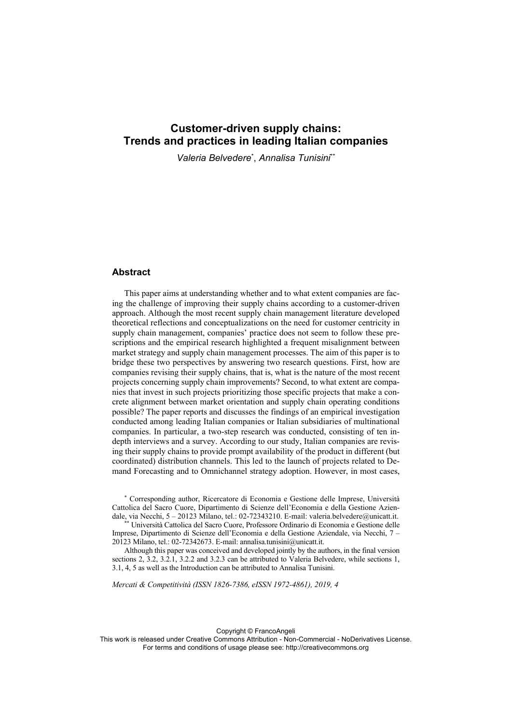*Valeria Belvedere*\* , *Annalisa Tunisini*\*\*

### **Abstract**

This paper aims at understanding whether and to what extent companies are facing the challenge of improving their supply chains according to a customer-driven approach. Although the most recent supply chain management literature developed theoretical reflections and conceptualizations on the need for customer centricity in supply chain management, companies' practice does not seem to follow these prescriptions and the empirical research highlighted a frequent misalignment between market strategy and supply chain management processes. The aim of this paper is to bridge these two perspectives by answering two research questions. First, how are companies revising their supply chains, that is, what is the nature of the most recent projects concerning supply chain improvements? Second, to what extent are companies that invest in such projects prioritizing those specific projects that make a concrete alignment between market orientation and supply chain operating conditions possible? The paper reports and discusses the findings of an empirical investigation conducted among leading Italian companies or Italian subsidiaries of multinational companies. In particular, a two-step research was conducted, consisting of ten indepth interviews and a survey. According to our study, Italian companies are revising their supply chains to provide prompt availability of the product in different (but coordinated) distribution channels. This led to the launch of projects related to Demand Forecasting and to Omnichannel strategy adoption. However, in most cases,

\* Corresponding author, Ricercatore di Economia e Gestione delle Imprese, Università Cattolica del Sacro Cuore, Dipartimento di Scienze dell'Economia e della Gestione Aziendale, via Necchi, 5 – 20123 Milano, tel.: 02-72343210. E-mail: valeria.belvedere@unicatt.it. \*\* Università Cattolica del Sacro Cuore, Professore Ordinario di Economia e Gestione delle

Imprese, Dipartimento di Scienze dell'Economia e della Gestione Aziendale, via Necchi, 7 – 20123 Milano, tel.: 02-72342673. E-mail: annalisa.tunisini@unicatt.it.

Although this paper was conceived and developed jointly by the authors, in the final version sections 2, 3.2, 3.2.1, 3.2.2 and 3.2.3 can be attributed to Valeria Belvedere, while sections 1, 3.1, 4, 5 as well as the Introduction can be attributed to Annalisa Tunisini.

*Mercati & Competitività (ISSN 1826-7386, eISSN 1972-4861), 2019, 4*

Copyright © FrancoAngeli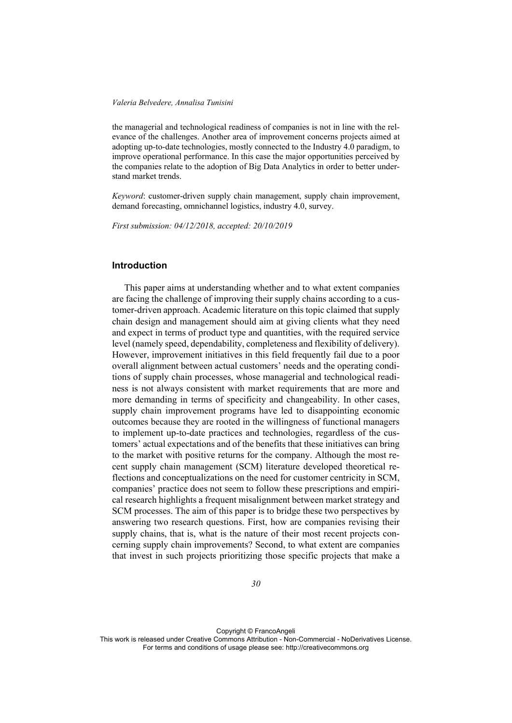the managerial and technological readiness of companies is not in line with the relevance of the challenges. Another area of improvement concerns projects aimed at adopting up-to-date technologies, mostly connected to the Industry 4.0 paradigm, to improve operational performance. In this case the major opportunities perceived by the companies relate to the adoption of Big Data Analytics in order to better understand market trends.

*Keyword*: customer-driven supply chain management, supply chain improvement, demand forecasting, omnichannel logistics, industry 4.0, survey.

*First submission: 04/12/2018, accepted: 20/10/2019* 

### **Introduction**

This paper aims at understanding whether and to what extent companies are facing the challenge of improving their supply chains according to a customer-driven approach. Academic literature on this topic claimed that supply chain design and management should aim at giving clients what they need and expect in terms of product type and quantities, with the required service level (namely speed, dependability, completeness and flexibility of delivery). However, improvement initiatives in this field frequently fail due to a poor overall alignment between actual customers' needs and the operating conditions of supply chain processes, whose managerial and technological readiness is not always consistent with market requirements that are more and more demanding in terms of specificity and changeability. In other cases, supply chain improvement programs have led to disappointing economic outcomes because they are rooted in the willingness of functional managers to implement up-to-date practices and technologies, regardless of the customers' actual expectations and of the benefits that these initiatives can bring to the market with positive returns for the company. Although the most recent supply chain management (SCM) literature developed theoretical reflections and conceptualizations on the need for customer centricity in SCM, companies' practice does not seem to follow these prescriptions and empirical research highlights a frequent misalignment between market strategy and SCM processes. The aim of this paper is to bridge these two perspectives by answering two research questions. First, how are companies revising their supply chains, that is, what is the nature of their most recent projects concerning supply chain improvements? Second, to what extent are companies that invest in such projects prioritizing those specific projects that make a

Copyright © FrancoAngeli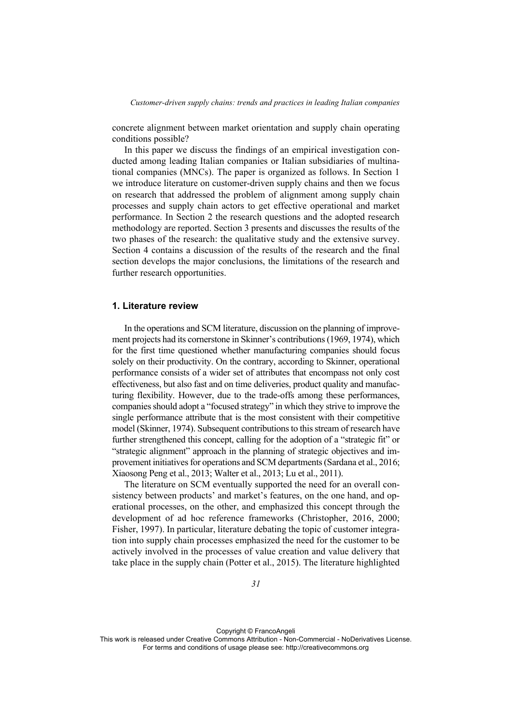concrete alignment between market orientation and supply chain operating conditions possible?

In this paper we discuss the findings of an empirical investigation conducted among leading Italian companies or Italian subsidiaries of multinational companies (MNCs). The paper is organized as follows. In Section 1 we introduce literature on customer-driven supply chains and then we focus on research that addressed the problem of alignment among supply chain processes and supply chain actors to get effective operational and market performance. In Section 2 the research questions and the adopted research methodology are reported. Section 3 presents and discusses the results of the two phases of the research: the qualitative study and the extensive survey. Section 4 contains a discussion of the results of the research and the final section develops the major conclusions, the limitations of the research and further research opportunities.

# **1. Literature review**

In the operations and SCM literature, discussion on the planning of improvement projects had its cornerstone in Skinner's contributions (1969, 1974), which for the first time questioned whether manufacturing companies should focus solely on their productivity. On the contrary, according to Skinner, operational performance consists of a wider set of attributes that encompass not only cost effectiveness, but also fast and on time deliveries, product quality and manufacturing flexibility. However, due to the trade-offs among these performances, companies should adopt a "focused strategy" in which they strive to improve the single performance attribute that is the most consistent with their competitive model (Skinner, 1974). Subsequent contributions to this stream of research have further strengthened this concept, calling for the adoption of a "strategic fit" or "strategic alignment" approach in the planning of strategic objectives and improvement initiatives for operations and SCM departments (Sardana et al., 2016; Xiaosong Peng et al., 2013; Walter et al., 2013; Lu et al., 2011).

The literature on SCM eventually supported the need for an overall consistency between products' and market's features, on the one hand, and operational processes, on the other, and emphasized this concept through the development of ad hoc reference frameworks (Christopher, 2016, 2000; Fisher, 1997). In particular, literature debating the topic of customer integration into supply chain processes emphasized the need for the customer to be actively involved in the processes of value creation and value delivery that take place in the supply chain (Potter et al., 2015). The literature highlighted

Copyright © FrancoAngeli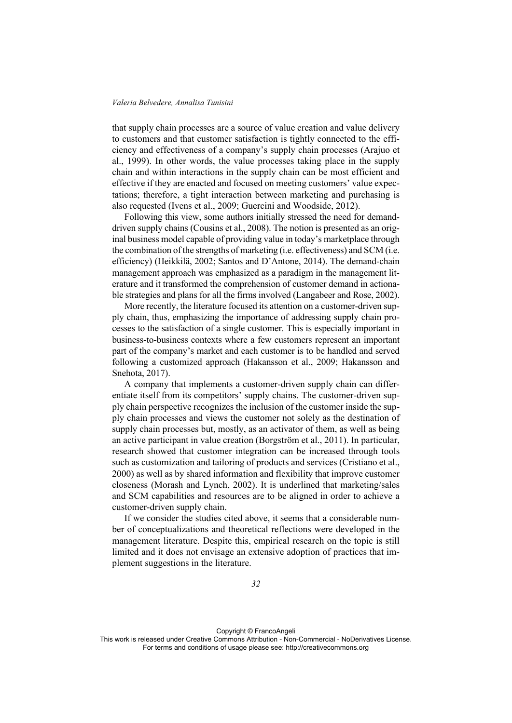that supply chain processes are a source of value creation and value delivery to customers and that customer satisfaction is tightly connected to the efficiency and effectiveness of a company's supply chain processes (Arajuo et al., 1999). In other words, the value processes taking place in the supply chain and within interactions in the supply chain can be most efficient and effective if they are enacted and focused on meeting customers' value expectations; therefore, a tight interaction between marketing and purchasing is also requested (Ivens et al., 2009; Guercini and Woodside, 2012).

Following this view, some authors initially stressed the need for demanddriven supply chains (Cousins et al., 2008). The notion is presented as an original business model capable of providing value in today's marketplace through the combination of the strengths of marketing (i.e. effectiveness) and SCM (i.e. efficiency) (Heikkilä, 2002; Santos and D'Antone, 2014). The demand-chain management approach was emphasized as a paradigm in the management literature and it transformed the comprehension of customer demand in actionable strategies and plans for all the firms involved (Langabeer and Rose, 2002).

More recently, the literature focused its attention on a customer-driven supply chain, thus, emphasizing the importance of addressing supply chain processes to the satisfaction of a single customer. This is especially important in business-to-business contexts where a few customers represent an important part of the company's market and each customer is to be handled and served following a customized approach (Hakansson et al., 2009; Hakansson and Snehota, 2017).

A company that implements a customer-driven supply chain can differentiate itself from its competitors' supply chains. The customer-driven supply chain perspective recognizes the inclusion of the customer inside the supply chain processes and views the customer not solely as the destination of supply chain processes but, mostly, as an activator of them, as well as being an active participant in value creation (Borgström et al., 2011). In particular, research showed that customer integration can be increased through tools such as customization and tailoring of products and services (Cristiano et al., 2000) as well as by shared information and flexibility that improve customer closeness (Morash and Lynch, 2002). It is underlined that marketing/sales and SCM capabilities and resources are to be aligned in order to achieve a customer-driven supply chain.

If we consider the studies cited above, it seems that a considerable number of conceptualizations and theoretical reflections were developed in the management literature. Despite this, empirical research on the topic is still limited and it does not envisage an extensive adoption of practices that implement suggestions in the literature.

Copyright © FrancoAngeli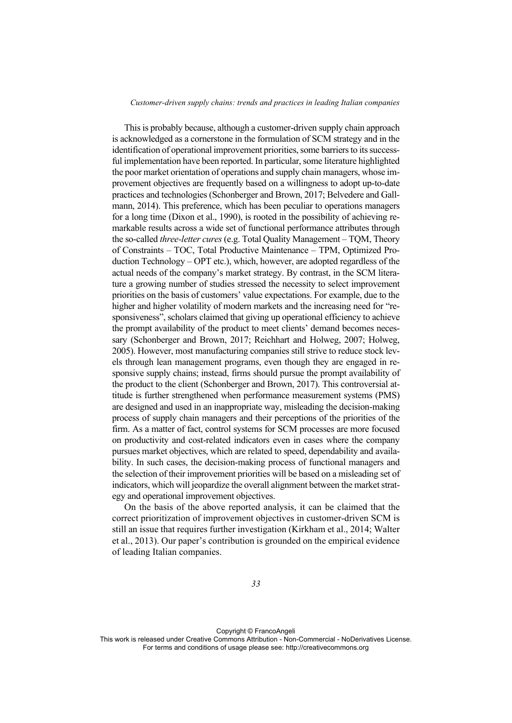This is probably because, although a customer-driven supply chain approach is acknowledged as a cornerstone in the formulation of SCM strategy and in the identification of operational improvement priorities, some barriers to its successful implementation have been reported. In particular, some literature highlighted the poor market orientation of operations and supply chain managers, whose improvement objectives are frequently based on a willingness to adopt up-to-date practices and technologies (Schonberger and Brown, 2017; Belvedere and Gallmann, 2014). This preference, which has been peculiar to operations managers for a long time (Dixon et al., 1990), is rooted in the possibility of achieving remarkable results across a wide set of functional performance attributes through the so-called *three-letter cures* (e.g. Total Quality Management – TQM, Theory of Constraints – TOC, Total Productive Maintenance – TPM, Optimized Production Technology – OPT etc.), which, however, are adopted regardless of the actual needs of the company's market strategy. By contrast, in the SCM literature a growing number of studies stressed the necessity to select improvement priorities on the basis of customers' value expectations. For example, due to the higher and higher volatility of modern markets and the increasing need for "responsiveness", scholars claimed that giving up operational efficiency to achieve the prompt availability of the product to meet clients' demand becomes necessary (Schonberger and Brown, 2017; Reichhart and Holweg, 2007; Holweg, 2005). However, most manufacturing companies still strive to reduce stock levels through lean management programs, even though they are engaged in responsive supply chains; instead, firms should pursue the prompt availability of the product to the client (Schonberger and Brown, 2017). This controversial attitude is further strengthened when performance measurement systems (PMS) are designed and used in an inappropriate way, misleading the decision-making process of supply chain managers and their perceptions of the priorities of the firm. As a matter of fact, control systems for SCM processes are more focused on productivity and cost-related indicators even in cases where the company pursues market objectives, which are related to speed, dependability and availability. In such cases, the decision-making process of functional managers and the selection of their improvement priorities will be based on a misleading set of indicators, which will jeopardize the overall alignment between the market strategy and operational improvement objectives.

On the basis of the above reported analysis, it can be claimed that the correct prioritization of improvement objectives in customer-driven SCM is still an issue that requires further investigation (Kirkham et al., 2014; Walter et al., 2013). Our paper's contribution is grounded on the empirical evidence of leading Italian companies.

Copyright © FrancoAngeli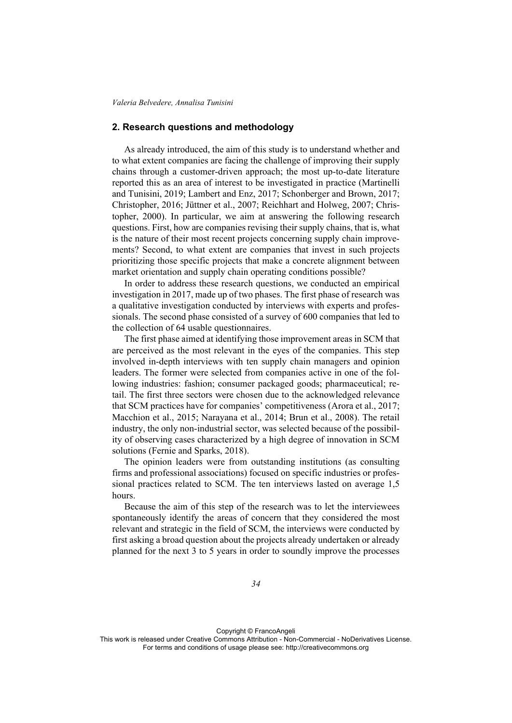## **2. Research questions and methodology**

As already introduced, the aim of this study is to understand whether and to what extent companies are facing the challenge of improving their supply chains through a customer-driven approach; the most up-to-date literature reported this as an area of interest to be investigated in practice (Martinelli and Tunisini, 2019; Lambert and Enz, 2017; Schonberger and Brown, 2017; Christopher, 2016; Jüttner et al., 2007; Reichhart and Holweg, 2007; Christopher, 2000). In particular, we aim at answering the following research questions. First, how are companies revising their supply chains, that is, what is the nature of their most recent projects concerning supply chain improvements? Second, to what extent are companies that invest in such projects prioritizing those specific projects that make a concrete alignment between market orientation and supply chain operating conditions possible?

In order to address these research questions, we conducted an empirical investigation in 2017, made up of two phases. The first phase of research was a qualitative investigation conducted by interviews with experts and professionals. The second phase consisted of a survey of 600 companies that led to the collection of 64 usable questionnaires.

The first phase aimed at identifying those improvement areas in SCM that are perceived as the most relevant in the eyes of the companies. This step involved in-depth interviews with ten supply chain managers and opinion leaders. The former were selected from companies active in one of the following industries: fashion; consumer packaged goods; pharmaceutical; retail. The first three sectors were chosen due to the acknowledged relevance that SCM practices have for companies' competitiveness (Arora et al., 2017; Macchion et al., 2015; Narayana et al., 2014; Brun et al., 2008). The retail industry, the only non-industrial sector, was selected because of the possibility of observing cases characterized by a high degree of innovation in SCM solutions (Fernie and Sparks, 2018).

The opinion leaders were from outstanding institutions (as consulting firms and professional associations) focused on specific industries or professional practices related to SCM. The ten interviews lasted on average 1,5 hours.

Because the aim of this step of the research was to let the interviewees spontaneously identify the areas of concern that they considered the most relevant and strategic in the field of SCM, the interviews were conducted by first asking a broad question about the projects already undertaken or already planned for the next 3 to 5 years in order to soundly improve the processes

Copyright © FrancoAngeli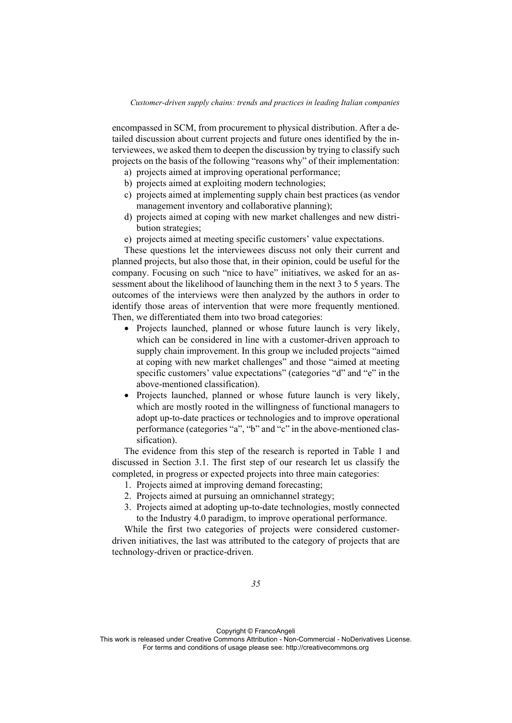encompassed in SCM, from procurement to physical distribution. After a detailed discussion about current projects and future ones identified by the interviewees, we asked them to deepen the discussion by trying to classify such projects on the basis of the following "reasons why" of their implementation:

- a) projects aimed at improving operational performance;
- b) projects aimed at exploiting modern technologies;
- c) projects aimed at implementing supply chain best practices (as vendor management inventory and collaborative planning);
- d) projects aimed at coping with new market challenges and new distribution strategies;
- e) projects aimed at meeting specific customers' value expectations.

These questions let the interviewees discuss not only their current and planned projects, but also those that, in their opinion, could be useful for the company. Focusing on such "nice to have" initiatives, we asked for an assessment about the likelihood of launching them in the next 3 to 5 years. The outcomes of the interviews were then analyzed by the authors in order to identify those areas of intervention that were more frequently mentioned. Then, we differentiated them into two broad categories:

- Projects launched, planned or whose future launch is very likely, which can be considered in line with a customer-driven approach to supply chain improvement. In this group we included projects "aimed at coping with new market challenges" and those "aimed at meeting specific customers' value expectations" (categories "d" and "e" in the above-mentioned classification).
- Projects launched, planned or whose future launch is very likely, which are mostly rooted in the willingness of functional managers to adopt up-to-date practices or technologies and to improve operational performance (categories "a", "b" and "c" in the above-mentioned classification).

The evidence from this step of the research is reported in Table 1 and discussed in Section 3.1. The first step of our research let us classify the completed, in progress or expected projects into three main categories:

- 1. Projects aimed at improving demand forecasting;
- 2. Projects aimed at pursuing an omnichannel strategy;
- 3. Projects aimed at adopting up-to-date technologies, mostly connected to the Industry 4.0 paradigm, to improve operational performance.

While the first two categories of projects were considered customerdriven initiatives, the last was attributed to the category of projects that are technology-driven or practice-driven.

Copyright © FrancoAngeli

This work is released under Creative Commons Attribution - Non-Commercial - NoDerivatives License. For terms and conditions of usage please see: http://creativecommons.org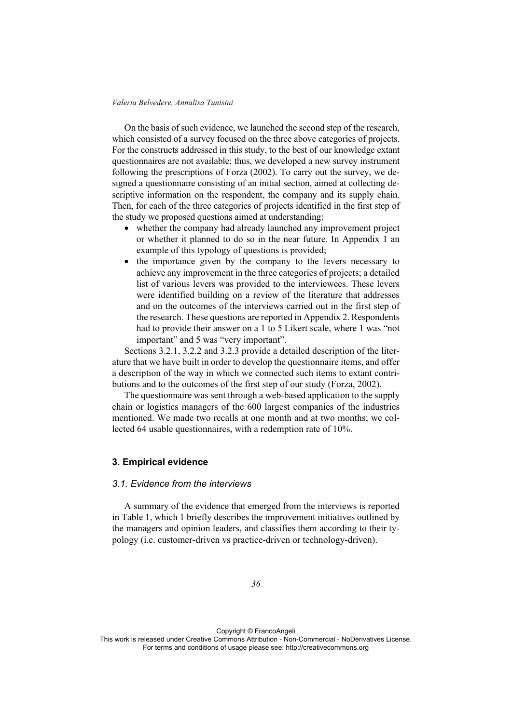On the basis of such evidence, we launched the second step of the research, which consisted of a survey focused on the three above categories of projects. For the constructs addressed in this study, to the best of our knowledge extant questionnaires are not available; thus, we developed a new survey instrument following the prescriptions of Forza (2002). To carry out the survey, we designed a questionnaire consisting of an initial section, aimed at collecting descriptive information on the respondent, the company and its supply chain. Then, for each of the three categories of projects identified in the first step of the study we proposed questions aimed at understanding:

- whether the company had already launched any improvement project or whether it planned to do so in the near future. In Appendix 1 an example of this typology of questions is provided;
- the importance given by the company to the levers necessary to achieve any improvement in the three categories of projects; a detailed list of various levers was provided to the interviewees. These levers were identified building on a review of the literature that addresses and on the outcomes of the interviews carried out in the first step of the research. These questions are reported in Appendix 2. Respondents had to provide their answer on a 1 to 5 Likert scale, where 1 was "not important" and 5 was "very important".

Sections 3.2.1, 3.2.2 and 3.2.3 provide a detailed description of the literature that we have built in order to develop the questionnaire items, and offer a description of the way in which we connected such items to extant contributions and to the outcomes of the first step of our study (Forza, 2002).

The questionnaire was sent through a web-based application to the supply chain or logistics managers of the 600 largest companies of the industries mentioned. We made two recalls at one month and at two months; we collected 64 usable questionnaires, with a redemption rate of 10%.

### **3. Empirical evidence**

#### *3.1. Evidence from the interviews*

A summary of the evidence that emerged from the interviews is reported in Table 1, which 1 briefly describes the improvement initiatives outlined by the managers and opinion leaders, and classifies them according to their typology (i.e. customer-driven vs practice-driven or technology-driven).

Copyright © FrancoAngeli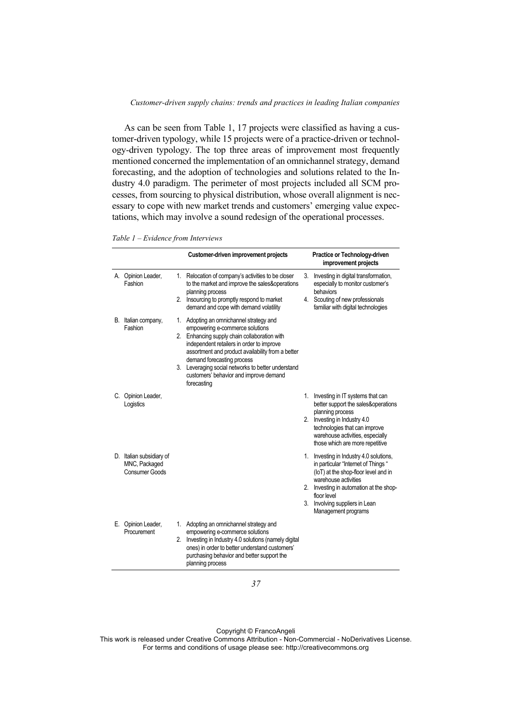As can be seen from Table 1, 17 projects were classified as having a customer-driven typology, while 15 projects were of a practice-driven or technology-driven typology. The top three areas of improvement most frequently mentioned concerned the implementation of an omnichannel strategy, demand forecasting, and the adoption of technologies and solutions related to the Industry 4.0 paradigm. The perimeter of most projects included all SCM processes, from sourcing to physical distribution, whose overall alignment is necessary to cope with new market trends and customers' emerging value expectations, which may involve a sound redesign of the operational processes.

*Table 1 – Evidence from Interviews* 

|    |                                                                    | Customer-driven improvement projects                                                                                                                                                                                                                                                                                                                                      |    | Practice or Technology-driven<br>improvement projects                                                                                                                                                                                                             |
|----|--------------------------------------------------------------------|---------------------------------------------------------------------------------------------------------------------------------------------------------------------------------------------------------------------------------------------------------------------------------------------------------------------------------------------------------------------------|----|-------------------------------------------------------------------------------------------------------------------------------------------------------------------------------------------------------------------------------------------------------------------|
|    | A. Opinion Leader,<br>Fashion                                      | 1. Relocation of company's activities to be closer<br>to the market and improve the sales&operations<br>planning process<br>2. Insourcing to promptly respond to market<br>demand and cope with demand volatility                                                                                                                                                         | 3. | Investing in digital transformation,<br>especially to monitor customer's<br>behaviors<br>4. Scouting of new professionals<br>familiar with digital technologies                                                                                                   |
|    | B. Italian company,<br>Fashion                                     | 1. Adopting an omnichannel strategy and<br>empowering e-commerce solutions<br>2. Enhancing supply chain collaboration with<br>independent retailers in order to improve<br>assortment and product availability from a better<br>demand forecasting process<br>3. Leveraging social networks to better understand<br>customers' behavior and improve demand<br>forecasting |    |                                                                                                                                                                                                                                                                   |
|    | C. Opinion Leader,<br>Logistics                                    |                                                                                                                                                                                                                                                                                                                                                                           | 1. | Investing in IT systems that can<br>better support the sales&operations<br>planning process<br>2. Investing in Industry 4.0<br>technologies that can improve<br>warehouse activities, especially<br>those which are more repetitive                               |
|    | D. Italian subsidiary of<br>MNC, Packaged<br><b>Consumer Goods</b> |                                                                                                                                                                                                                                                                                                                                                                           |    | 1. Investing in Industry 4.0 solutions,<br>in particular "Internet of Things "<br>(IoT) at the shop-floor level and in<br>warehouse activities<br>2. Investing in automation at the shop-<br>floor level<br>3. Involving suppliers in Lean<br>Management programs |
| Е. | Opinion Leader,<br>Procurement                                     | 1. Adopting an omnichannel strategy and<br>empowering e-commerce solutions<br>2. Investing in Industry 4.0 solutions (namely digital<br>ones) in order to better understand customers'<br>purchasing behavior and better support the<br>planning process                                                                                                                  |    |                                                                                                                                                                                                                                                                   |

Copyright © FrancoAngeli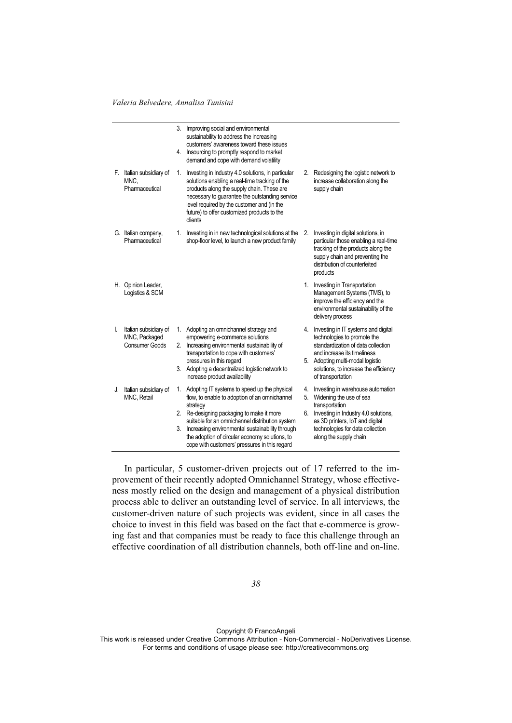|    |                                                                 |          | 3. Improving social and environmental<br>sustainability to address the increasing<br>customers' awareness toward these issues<br>4. Insourcing to promptly respond to market<br>demand and cope with demand volatility                                                                                                                                          |                |                                                                                                                                                                                                                                           |
|----|-----------------------------------------------------------------|----------|-----------------------------------------------------------------------------------------------------------------------------------------------------------------------------------------------------------------------------------------------------------------------------------------------------------------------------------------------------------------|----------------|-------------------------------------------------------------------------------------------------------------------------------------------------------------------------------------------------------------------------------------------|
|    | F. Italian subsidiary of<br>MNC.<br>Pharmaceutical              | 1.       | Investing in Industry 4.0 solutions, in particular<br>solutions enabling a real-time tracking of the<br>products along the supply chain. These are<br>necessary to guarantee the outstanding service<br>level required by the customer and (in the<br>future) to offer customized products to the<br>clients                                                    | 2.             | Redesigning the logistic network to<br>increase collaboration along the<br>supply chain                                                                                                                                                   |
|    | G. Italian company,<br>Pharmaceutical                           | 1.       | Investing in in new technological solutions at the<br>shop-floor level, to launch a new product family                                                                                                                                                                                                                                                          | 2.             | Investing in digital solutions, in<br>particular those enabling a real-time<br>tracking of the products along the<br>supply chain and preventing the<br>distribution of counterfeited<br>products                                         |
|    | H. Opinion Leader,<br>Logistics & SCM                           |          |                                                                                                                                                                                                                                                                                                                                                                 | 1.             | Investing in Transportation<br>Management Systems (TMS), to<br>improve the efficiency and the<br>environmental sustainability of the<br>delivery process                                                                                  |
| I. | Italian subsidiary of<br>MNC, Packaged<br><b>Consumer Goods</b> | 1.<br>2. | Adopting an omnichannel strategy and<br>empowering e-commerce solutions<br>Increasing environmental sustainability of<br>transportation to cope with customers'<br>pressures in this regard<br>3. Adopting a decentralized logistic network to<br>increase product availability                                                                                 | 4.             | Investing in IT systems and digital<br>technologies to promote the<br>standardization of data collection<br>and increase its timeliness<br>5. Adopting multi-modal logistic<br>solutions, to increase the efficiency<br>of transportation |
| J. | Italian subsidiary of<br>MNC, Retail                            | 1.<br>3. | Adopting IT systems to speed up the physical<br>flow, to enable to adoption of an omnichannel<br>strategy<br>2. Re-designing packaging to make it more<br>suitable for an omnichannel distribution system<br>Increasing environmental sustainability through<br>the adoption of circular economy solutions, to<br>cope with customers' pressures in this regard | 4.<br>5.<br>6. | Investing in warehouse automation<br>Widening the use of sea<br>transportation<br>Investing in Industry 4.0 solutions,<br>as 3D printers, IoT and digital<br>technologies for data collection<br>along the supply chain                   |

In particular, 5 customer-driven projects out of 17 referred to the improvement of their recently adopted Omnichannel Strategy, whose effectiveness mostly relied on the design and management of a physical distribution process able to deliver an outstanding level of service. In all interviews, the customer-driven nature of such projects was evident, since in all cases the choice to invest in this field was based on the fact that e-commerce is growing fast and that companies must be ready to face this challenge through an effective coordination of all distribution channels, both off-line and on-line.

Copyright © FrancoAngeli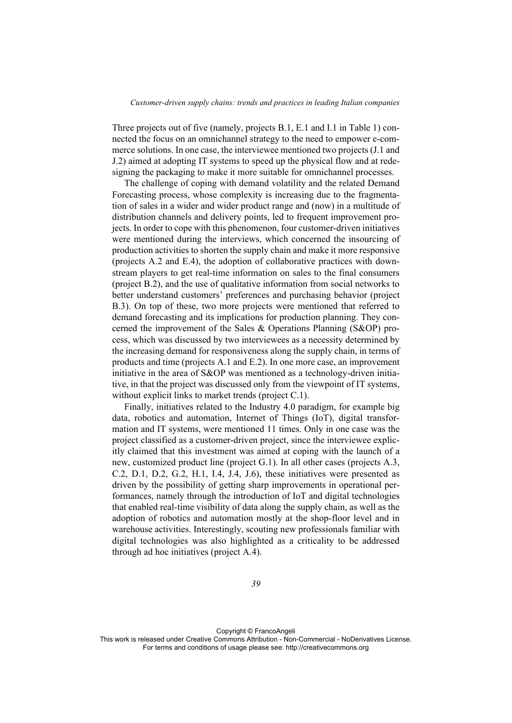Three projects out of five (namely, projects B.1, E.1 and I.1 in Table 1) connected the focus on an omnichannel strategy to the need to empower e-commerce solutions. In one case, the interviewee mentioned two projects (J.1 and J.2) aimed at adopting IT systems to speed up the physical flow and at redesigning the packaging to make it more suitable for omnichannel processes.

The challenge of coping with demand volatility and the related Demand Forecasting process, whose complexity is increasing due to the fragmentation of sales in a wider and wider product range and (now) in a multitude of distribution channels and delivery points, led to frequent improvement projects. In order to cope with this phenomenon, four customer-driven initiatives were mentioned during the interviews, which concerned the insourcing of production activities to shorten the supply chain and make it more responsive (projects A.2 and E.4), the adoption of collaborative practices with downstream players to get real-time information on sales to the final consumers (project B.2), and the use of qualitative information from social networks to better understand customers' preferences and purchasing behavior (project B.3). On top of these, two more projects were mentioned that referred to demand forecasting and its implications for production planning. They concerned the improvement of the Sales & Operations Planning (S&OP) process, which was discussed by two interviewees as a necessity determined by the increasing demand for responsiveness along the supply chain, in terms of products and time (projects A.1 and E.2). In one more case, an improvement initiative in the area of S&OP was mentioned as a technology-driven initiative, in that the project was discussed only from the viewpoint of IT systems, without explicit links to market trends (project C.1).

Finally, initiatives related to the Industry 4.0 paradigm, for example big data, robotics and automation, Internet of Things (IoT), digital transformation and IT systems, were mentioned 11 times. Only in one case was the project classified as a customer-driven project, since the interviewee explicitly claimed that this investment was aimed at coping with the launch of a new, customized product line (project G.1). In all other cases (projects A.3, C.2, D.1, D.2, G.2, H.1, I.4, J.4, J.6), these initiatives were presented as driven by the possibility of getting sharp improvements in operational performances, namely through the introduction of IoT and digital technologies that enabled real-time visibility of data along the supply chain, as well as the adoption of robotics and automation mostly at the shop-floor level and in warehouse activities. Interestingly, scouting new professionals familiar with digital technologies was also highlighted as a criticality to be addressed through ad hoc initiatives (project A.4).

Copyright © FrancoAngeli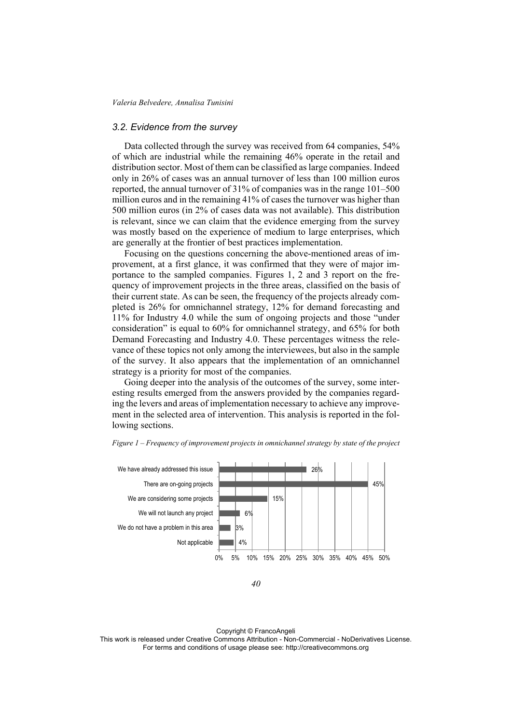### *3.2. Evidence from the survey*

Data collected through the survey was received from 64 companies, 54% of which are industrial while the remaining 46% operate in the retail and distribution sector. Most of them can be classified as large companies. Indeed only in 26% of cases was an annual turnover of less than 100 million euros reported, the annual turnover of 31% of companies was in the range 101–500 million euros and in the remaining 41% of cases the turnover was higher than 500 million euros (in 2% of cases data was not available). This distribution is relevant, since we can claim that the evidence emerging from the survey was mostly based on the experience of medium to large enterprises, which are generally at the frontier of best practices implementation.

Focusing on the questions concerning the above-mentioned areas of improvement, at a first glance, it was confirmed that they were of major importance to the sampled companies. Figures 1, 2 and 3 report on the frequency of improvement projects in the three areas, classified on the basis of their current state. As can be seen, the frequency of the projects already completed is 26% for omnichannel strategy, 12% for demand forecasting and 11% for Industry 4.0 while the sum of ongoing projects and those "under consideration" is equal to 60% for omnichannel strategy, and 65% for both Demand Forecasting and Industry 4.0. These percentages witness the relevance of these topics not only among the interviewees, but also in the sample of the survey. It also appears that the implementation of an omnichannel strategy is a priority for most of the companies.

Going deeper into the analysis of the outcomes of the survey, some interesting results emerged from the answers provided by the companies regarding the levers and areas of implementation necessary to achieve any improvement in the selected area of intervention. This analysis is reported in the following sections.



*Figure 1 – Frequency of improvement projects in omnichannel strategy by state of the project* 

Copyright © FrancoAngeli

*<sup>40</sup>*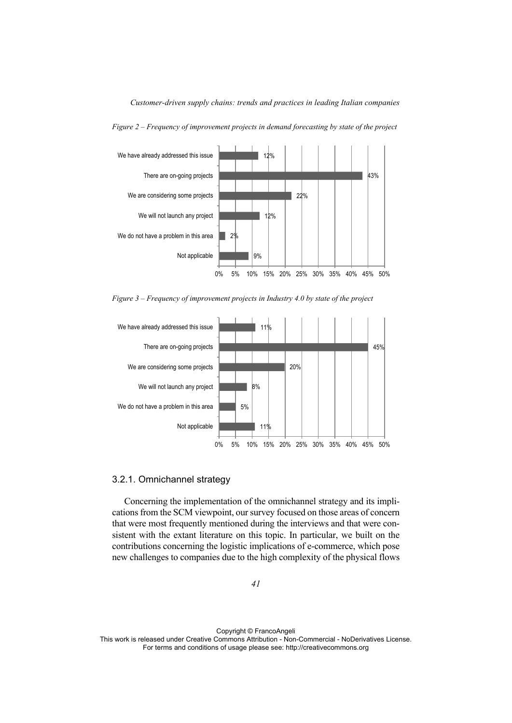

*Figure 2 – Frequency of improvement projects in demand forecasting by state of the project* 

*Figure 3 – Frequency of improvement projects in Industry 4.0 by state of the project* 



### 3.2.1. Omnichannel strategy

Concerning the implementation of the omnichannel strategy and its implications from the SCM viewpoint, our survey focused on those areas of concern that were most frequently mentioned during the interviews and that were consistent with the extant literature on this topic. In particular, we built on the contributions concerning the logistic implications of e-commerce, which pose new challenges to companies due to the high complexity of the physical flows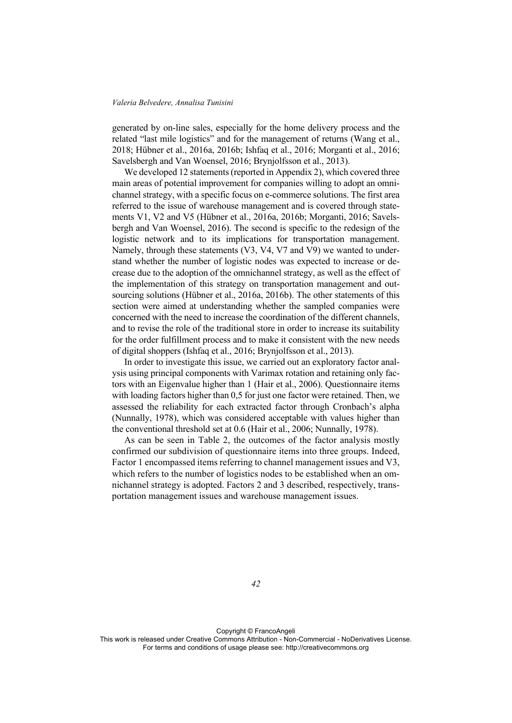generated by on-line sales, especially for the home delivery process and the related "last mile logistics" and for the management of returns (Wang et al., 2018; Hübner et al., 2016a, 2016b; Ishfaq et al., 2016; Morganti et al., 2016; Savelsbergh and Van Woensel, 2016; Brynjolfsson et al., 2013).

We developed 12 statements (reported in Appendix 2), which covered three main areas of potential improvement for companies willing to adopt an omnichannel strategy, with a specific focus on e-commerce solutions. The first area referred to the issue of warehouse management and is covered through statements V1, V2 and V5 (Hübner et al., 2016a, 2016b; Morganti, 2016; Savelsbergh and Van Woensel, 2016). The second is specific to the redesign of the logistic network and to its implications for transportation management. Namely, through these statements (V3, V4, V7 and V9) we wanted to understand whether the number of logistic nodes was expected to increase or decrease due to the adoption of the omnichannel strategy, as well as the effect of the implementation of this strategy on transportation management and outsourcing solutions (Hübner et al., 2016a, 2016b). The other statements of this section were aimed at understanding whether the sampled companies were concerned with the need to increase the coordination of the different channels, and to revise the role of the traditional store in order to increase its suitability for the order fulfillment process and to make it consistent with the new needs of digital shoppers (Ishfaq et al., 2016; Brynjolfsson et al., 2013).

In order to investigate this issue, we carried out an exploratory factor analysis using principal components with Varimax rotation and retaining only factors with an Eigenvalue higher than 1 (Hair et al., 2006). Questionnaire items with loading factors higher than 0,5 for just one factor were retained. Then, we assessed the reliability for each extracted factor through Cronbach's alpha (Nunnally, 1978), which was considered acceptable with values higher than the conventional threshold set at 0.6 (Hair et al., 2006; Nunnally, 1978).

As can be seen in Table 2, the outcomes of the factor analysis mostly confirmed our subdivision of questionnaire items into three groups. Indeed, Factor 1 encompassed items referring to channel management issues and V3, which refers to the number of logistics nodes to be established when an omnichannel strategy is adopted. Factors 2 and 3 described, respectively, transportation management issues and warehouse management issues.

*42* 

Copyright © FrancoAngeli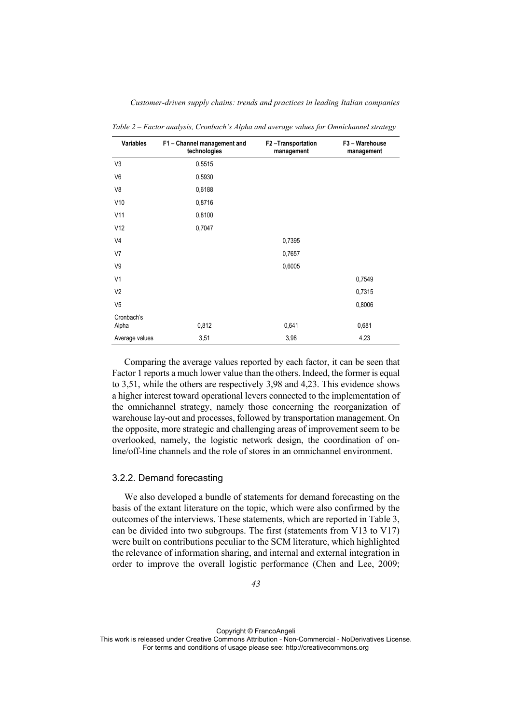| Variables           | F1 - Channel management and<br>technologies | F2-Transportation<br>management | F3 - Warehouse<br>management |
|---------------------|---------------------------------------------|---------------------------------|------------------------------|
| V <sub>3</sub>      | 0,5515                                      |                                 |                              |
| V <sub>6</sub>      | 0,5930                                      |                                 |                              |
| V8                  | 0,6188                                      |                                 |                              |
| V10                 | 0,8716                                      |                                 |                              |
| V11                 | 0,8100                                      |                                 |                              |
| V12                 | 0,7047                                      |                                 |                              |
| V <sub>4</sub>      |                                             | 0,7395                          |                              |
| V7                  |                                             | 0,7657                          |                              |
| V9                  |                                             | 0,6005                          |                              |
| V <sub>1</sub>      |                                             |                                 | 0,7549                       |
| V <sub>2</sub>      |                                             |                                 | 0,7315                       |
| V <sub>5</sub>      |                                             |                                 | 0,8006                       |
| Cronbach's<br>Alpha | 0,812                                       | 0,641                           | 0,681                        |
| Average values      | 3,51                                        | 3,98                            | 4,23                         |

*Table 2 – Factor analysis, Cronbach's Alpha and average values for Omnichannel strategy* 

Comparing the average values reported by each factor, it can be seen that Factor 1 reports a much lower value than the others. Indeed, the former is equal to 3,51, while the others are respectively 3,98 and 4,23. This evidence shows a higher interest toward operational levers connected to the implementation of the omnichannel strategy, namely those concerning the reorganization of warehouse lay-out and processes, followed by transportation management. On the opposite, more strategic and challenging areas of improvement seem to be overlooked, namely, the logistic network design, the coordination of online/off-line channels and the role of stores in an omnichannel environment.

# 3.2.2. Demand forecasting

We also developed a bundle of statements for demand forecasting on the basis of the extant literature on the topic, which were also confirmed by the outcomes of the interviews. These statements, which are reported in Table 3, can be divided into two subgroups. The first (statements from V13 to V17) were built on contributions peculiar to the SCM literature, which highlighted the relevance of information sharing, and internal and external integration in order to improve the overall logistic performance (Chen and Lee, 2009;

Copyright © FrancoAngeli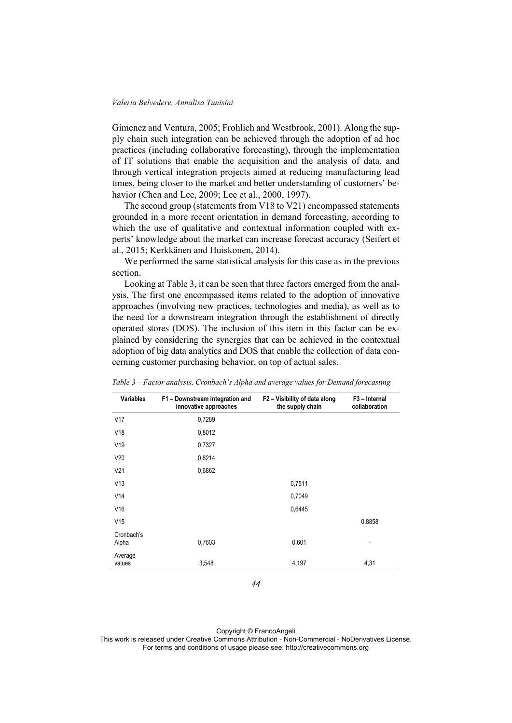Gimenez and Ventura, 2005; Frohlich and Westbrook, 2001). Along the supply chain such integration can be achieved through the adoption of ad hoc practices (including collaborative forecasting), through the implementation of IT solutions that enable the acquisition and the analysis of data, and through vertical integration projects aimed at reducing manufacturing lead times, being closer to the market and better understanding of customers' behavior (Chen and Lee, 2009; Lee et al., 2000, 1997).

The second group (statements from V18 to V21) encompassed statements grounded in a more recent orientation in demand forecasting, according to which the use of qualitative and contextual information coupled with experts' knowledge about the market can increase forecast accuracy (Seifert et al., 2015; Kerkkänen and Huiskonen, 2014).

We performed the same statistical analysis for this case as in the previous section.

Looking at Table 3, it can be seen that three factors emerged from the analysis. The first one encompassed items related to the adoption of innovative approaches (involving new practices, technologies and media), as well as to the need for a downstream integration through the establishment of directly operated stores (DOS). The inclusion of this item in this factor can be explained by considering the synergies that can be achieved in the contextual adoption of big data analytics and DOS that enable the collection of data concerning customer purchasing behavior, on top of actual sales.

| <b>Variables</b>    | F1 - Downstream integration and<br>innovative approaches | F2 - Visibility of data along<br>the supply chain | F <sub>3</sub> – Internal<br>collaboration |
|---------------------|----------------------------------------------------------|---------------------------------------------------|--------------------------------------------|
| V17                 | 0,7289                                                   |                                                   |                                            |
| V18                 | 0,8012                                                   |                                                   |                                            |
| V19                 | 0,7327                                                   |                                                   |                                            |
| V20                 | 0,6214                                                   |                                                   |                                            |
| V <sub>21</sub>     | 0,6862                                                   |                                                   |                                            |
| V13                 |                                                          | 0,7511                                            |                                            |
| V14                 |                                                          | 0,7049                                            |                                            |
| V16                 |                                                          | 0,6445                                            |                                            |
| V15                 |                                                          |                                                   | 0,8858                                     |
| Cronbach's<br>Alpha | 0,7603                                                   | 0,601                                             | $\overline{\phantom{a}}$                   |
| Average<br>values   | 3,548                                                    | 4,197                                             | 4,31                                       |

*Table 3 – Factor analysis, Cronbach's Alpha and average values for Demand forecasting* 

*44* 

Copyright © FrancoAngeli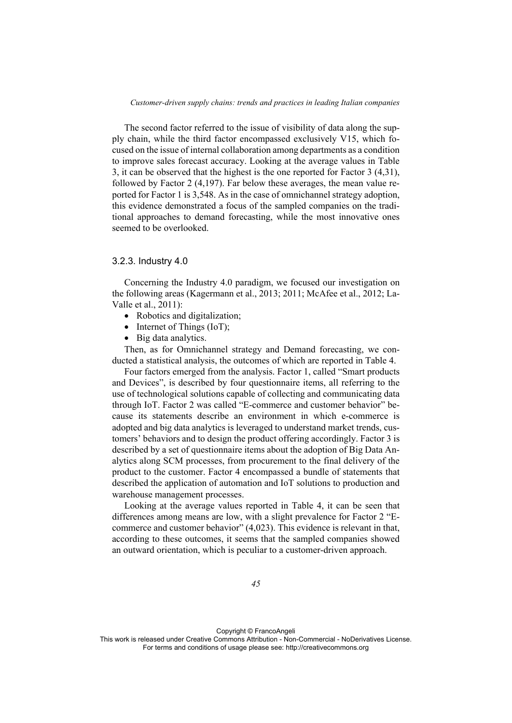The second factor referred to the issue of visibility of data along the supply chain, while the third factor encompassed exclusively V15, which focused on the issue of internal collaboration among departments as a condition to improve sales forecast accuracy. Looking at the average values in Table 3, it can be observed that the highest is the one reported for Factor 3 (4,31), followed by Factor 2 (4,197). Far below these averages, the mean value reported for Factor 1 is 3,548. As in the case of omnichannel strategy adoption, this evidence demonstrated a focus of the sampled companies on the traditional approaches to demand forecasting, while the most innovative ones seemed to be overlooked.

# 3.2.3. Industry 4.0

Concerning the Industry 4.0 paradigm, we focused our investigation on the following areas (Kagermann et al., 2013; 2011; McAfee et al., 2012; La-Valle et al., 2011):

- Robotics and digitalization:
- Internet of Things (IoT);
- Big data analytics.

Then, as for Omnichannel strategy and Demand forecasting, we conducted a statistical analysis, the outcomes of which are reported in Table 4.

Four factors emerged from the analysis. Factor 1, called "Smart products and Devices", is described by four questionnaire items, all referring to the use of technological solutions capable of collecting and communicating data through IoT. Factor 2 was called "E-commerce and customer behavior" because its statements describe an environment in which e-commerce is adopted and big data analytics is leveraged to understand market trends, customers' behaviors and to design the product offering accordingly. Factor 3 is described by a set of questionnaire items about the adoption of Big Data Analytics along SCM processes, from procurement to the final delivery of the product to the customer. Factor 4 encompassed a bundle of statements that described the application of automation and IoT solutions to production and warehouse management processes.

Looking at the average values reported in Table 4, it can be seen that differences among means are low, with a slight prevalence for Factor 2 "Ecommerce and customer behavior" (4,023). This evidence is relevant in that, according to these outcomes, it seems that the sampled companies showed an outward orientation, which is peculiar to a customer-driven approach.

Copyright © FrancoAngeli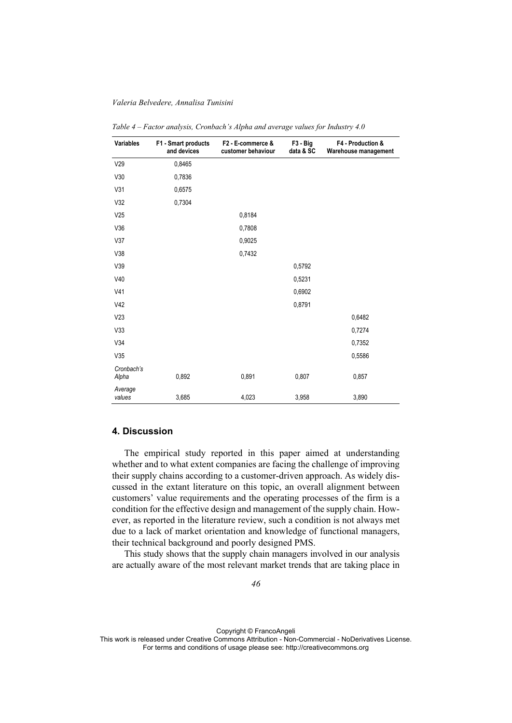| Variables           | F1 - Smart products<br>and devices | F2 - E-commerce &<br>customer behaviour | F <sub>3</sub> - Big<br>data & SC | F4 - Production &<br>Warehouse management |
|---------------------|------------------------------------|-----------------------------------------|-----------------------------------|-------------------------------------------|
| V29                 | 0,8465                             |                                         |                                   |                                           |
| V30                 | 0,7836                             |                                         |                                   |                                           |
| V31                 | 0,6575                             |                                         |                                   |                                           |
| V32                 | 0,7304                             |                                         |                                   |                                           |
| V25                 |                                    | 0,8184                                  |                                   |                                           |
| V36                 |                                    | 0,7808                                  |                                   |                                           |
| V37                 |                                    | 0,9025                                  |                                   |                                           |
| V38                 |                                    | 0,7432                                  |                                   |                                           |
| V39                 |                                    |                                         | 0,5792                            |                                           |
| V40                 |                                    |                                         | 0,5231                            |                                           |
| V <sub>41</sub>     |                                    |                                         | 0,6902                            |                                           |
| V42                 |                                    |                                         | 0,8791                            |                                           |
| V23                 |                                    |                                         |                                   | 0,6482                                    |
| V33                 |                                    |                                         |                                   | 0,7274                                    |
| V34                 |                                    |                                         |                                   | 0,7352                                    |
| V35                 |                                    |                                         |                                   | 0,5586                                    |
| Cronbach's<br>Alpha | 0,892                              | 0,891                                   | 0,807                             | 0,857                                     |
| Average<br>values   | 3,685                              | 4,023                                   | 3,958                             | 3,890                                     |

*Table 4 – Factor analysis, Cronbach's Alpha and average values for Industry 4.0* 

# **4. Discussion**

The empirical study reported in this paper aimed at understanding whether and to what extent companies are facing the challenge of improving their supply chains according to a customer-driven approach. As widely discussed in the extant literature on this topic, an overall alignment between customers' value requirements and the operating processes of the firm is a condition for the effective design and management of the supply chain. However, as reported in the literature review, such a condition is not always met due to a lack of market orientation and knowledge of functional managers, their technical background and poorly designed PMS.

This study shows that the supply chain managers involved in our analysis are actually aware of the most relevant market trends that are taking place in

Copyright © FrancoAngeli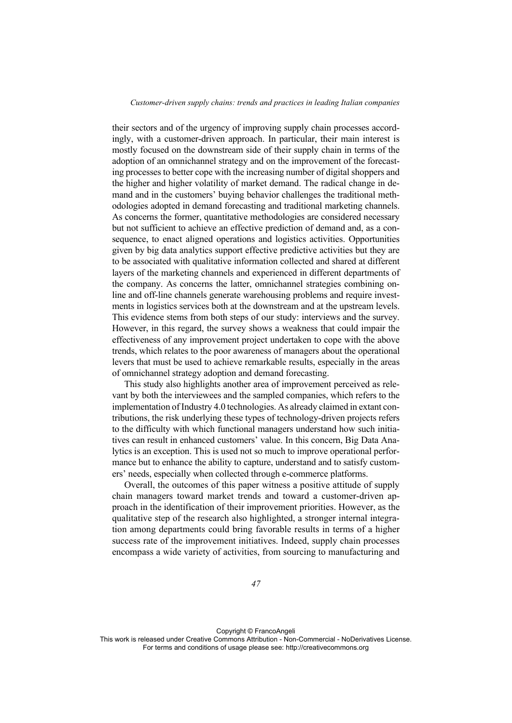their sectors and of the urgency of improving supply chain processes accordingly, with a customer-driven approach. In particular, their main interest is mostly focused on the downstream side of their supply chain in terms of the adoption of an omnichannel strategy and on the improvement of the forecasting processes to better cope with the increasing number of digital shoppers and the higher and higher volatility of market demand. The radical change in demand and in the customers' buying behavior challenges the traditional methodologies adopted in demand forecasting and traditional marketing channels. As concerns the former, quantitative methodologies are considered necessary but not sufficient to achieve an effective prediction of demand and, as a consequence, to enact aligned operations and logistics activities. Opportunities given by big data analytics support effective predictive activities but they are to be associated with qualitative information collected and shared at different layers of the marketing channels and experienced in different departments of the company. As concerns the latter, omnichannel strategies combining online and off-line channels generate warehousing problems and require investments in logistics services both at the downstream and at the upstream levels. This evidence stems from both steps of our study: interviews and the survey. However, in this regard, the survey shows a weakness that could impair the effectiveness of any improvement project undertaken to cope with the above trends, which relates to the poor awareness of managers about the operational levers that must be used to achieve remarkable results, especially in the areas of omnichannel strategy adoption and demand forecasting.

This study also highlights another area of improvement perceived as relevant by both the interviewees and the sampled companies, which refers to the implementation of Industry 4.0 technologies. As already claimed in extant contributions, the risk underlying these types of technology-driven projects refers to the difficulty with which functional managers understand how such initiatives can result in enhanced customers' value. In this concern, Big Data Analytics is an exception. This is used not so much to improve operational performance but to enhance the ability to capture, understand and to satisfy customers' needs, especially when collected through e-commerce platforms.

Overall, the outcomes of this paper witness a positive attitude of supply chain managers toward market trends and toward a customer-driven approach in the identification of their improvement priorities. However, as the qualitative step of the research also highlighted, a stronger internal integration among departments could bring favorable results in terms of a higher success rate of the improvement initiatives. Indeed, supply chain processes encompass a wide variety of activities, from sourcing to manufacturing and

Copyright © FrancoAngeli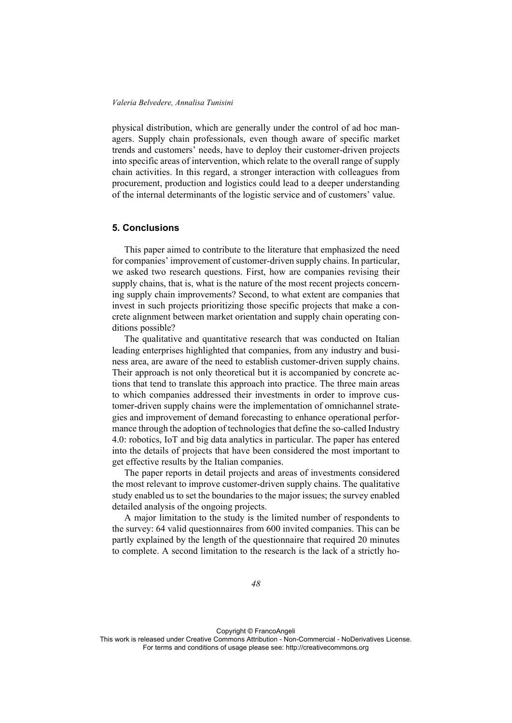physical distribution, which are generally under the control of ad hoc managers. Supply chain professionals, even though aware of specific market trends and customers' needs, have to deploy their customer-driven projects into specific areas of intervention, which relate to the overall range of supply chain activities. In this regard, a stronger interaction with colleagues from procurement, production and logistics could lead to a deeper understanding of the internal determinants of the logistic service and of customers' value.

# **5. Conclusions**

This paper aimed to contribute to the literature that emphasized the need for companies' improvement of customer-driven supply chains. In particular, we asked two research questions. First, how are companies revising their supply chains, that is, what is the nature of the most recent projects concerning supply chain improvements? Second, to what extent are companies that invest in such projects prioritizing those specific projects that make a concrete alignment between market orientation and supply chain operating conditions possible?

The qualitative and quantitative research that was conducted on Italian leading enterprises highlighted that companies, from any industry and business area, are aware of the need to establish customer-driven supply chains. Their approach is not only theoretical but it is accompanied by concrete actions that tend to translate this approach into practice. The three main areas to which companies addressed their investments in order to improve customer-driven supply chains were the implementation of omnichannel strategies and improvement of demand forecasting to enhance operational performance through the adoption of technologies that define the so-called Industry 4.0: robotics, IoT and big data analytics in particular. The paper has entered into the details of projects that have been considered the most important to get effective results by the Italian companies.

The paper reports in detail projects and areas of investments considered the most relevant to improve customer-driven supply chains. The qualitative study enabled us to set the boundaries to the major issues; the survey enabled detailed analysis of the ongoing projects.

A major limitation to the study is the limited number of respondents to the survey: 64 valid questionnaires from 600 invited companies. This can be partly explained by the length of the questionnaire that required 20 minutes to complete. A second limitation to the research is the lack of a strictly ho-

Copyright © FrancoAngeli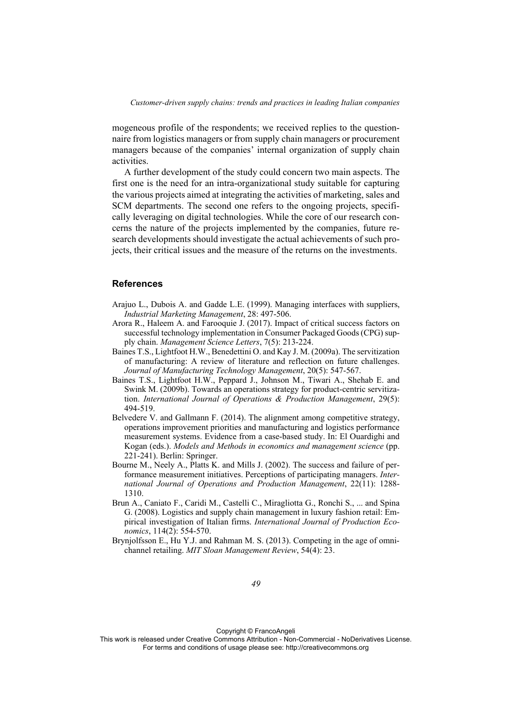mogeneous profile of the respondents; we received replies to the questionnaire from logistics managers or from supply chain managers or procurement managers because of the companies' internal organization of supply chain activities.

A further development of the study could concern two main aspects. The first one is the need for an intra-organizational study suitable for capturing the various projects aimed at integrating the activities of marketing, sales and SCM departments. The second one refers to the ongoing projects, specifically leveraging on digital technologies. While the core of our research concerns the nature of the projects implemented by the companies, future research developments should investigate the actual achievements of such projects, their critical issues and the measure of the returns on the investments.

### **References**

- Arajuo L., Dubois A. and Gadde L.E. (1999). Managing interfaces with suppliers, *Industrial Marketing Management*, 28: 497-506.
- Arora R., Haleem A. and Farooquie J. (2017). Impact of critical success factors on successful technology implementation in Consumer Packaged Goods (CPG) supply chain. *Management Science Letters*, 7(5): 213-224.
- Baines T.S., Lightfoot H.W., Benedettini O. and Kay J. M. (2009a). The servitization of manufacturing: A review of literature and reflection on future challenges. *Journal of Manufacturing Technology Management*, 20(5): 547-567.
- Baines T.S., Lightfoot H.W., Peppard J., Johnson M., Tiwari A., Shehab E. and Swink M. (2009b). Towards an operations strategy for product-centric servitization. *International Journal of Operations & Production Management*, 29(5): 494-519.
- Belvedere V. and Gallmann F. (2014). The alignment among competitive strategy, operations improvement priorities and manufacturing and logistics performance measurement systems. Evidence from a case-based study. In: El Ouardighi and Kogan (eds.). *Models and Methods in economics and management science* (pp. 221-241). Berlin: Springer.
- Bourne M., Neely A., Platts K. and Mills J. (2002). The success and failure of performance measurement initiatives. Perceptions of participating managers. *International Journal of Operations and Production Management*, 22(11): 1288- 1310.
- Brun A., Caniato F., Caridi M., Castelli C., Miragliotta G., Ronchi S., ... and Spina G. (2008). Logistics and supply chain management in luxury fashion retail: Empirical investigation of Italian firms. *International Journal of Production Economics*, 114(2): 554-570.
- Brynjolfsson E., Hu Y.J. and Rahman M. S. (2013). Competing in the age of omnichannel retailing. *MIT Sloan Management Review*, 54(4): 23.

Copyright © FrancoAngeli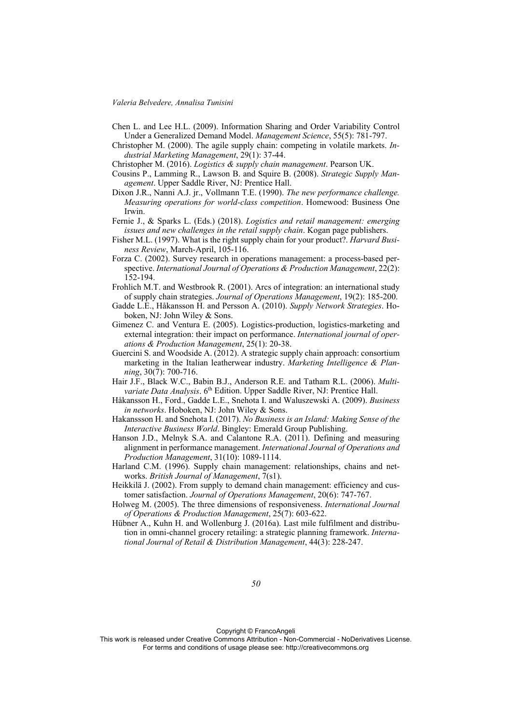- Chen L. and Lee H.L. (2009). Information Sharing and Order Variability Control Under a Generalized Demand Model. *Management Science*, 55(5): 781-797.
- Christopher M. (2000). The agile supply chain: competing in volatile markets. *Industrial Marketing Management*, 29(1): 37-44.
- Christopher M. (2016). *Logistics & supply chain management*. Pearson UK.
- Cousins P., Lamming R., Lawson B. and Squire B. (2008). *Strategic Supply Management*. Upper Saddle River, NJ: Prentice Hall.
- Dixon J.R., Nanni A.J. jr., Vollmann T.E. (1990). *The new performance challenge. Measuring operations for world-class competition*. Homewood: Business One Irwin.
- Fernie J., & Sparks L. (Eds.) (2018). *Logistics and retail management: emerging issues and new challenges in the retail supply chain*. Kogan page publishers.
- Fisher M.L. (1997). What is the right supply chain for your product?. *Harvard Business Review*, March-April, 105-116.
- Forza C. (2002). Survey research in operations management: a process-based perspective. *International Journal of Operations & Production Management*, 22(2): 152-194.
- Frohlich M.T. and Westbrook R. (2001). Arcs of integration: an international study of supply chain strategies. *Journal of Operations Management*, 19(2): 185-200.
- Gadde L.E., Håkansson H. and Persson A. (2010). *Supply Network Strategies*. Hoboken, NJ: John Wiley & Sons.
- Gimenez C. and Ventura E. (2005). Logistics-production, logistics-marketing and external integration: their impact on performance. *International journal of operations & Production Management*, 25(1): 20-38.
- Guercini S. and Woodside A. (2012). A strategic supply chain approach: consortium marketing in the Italian leatherwear industry. *Marketing Intelligence & Planning*, 30(7): 700-716.
- Hair J.F., Black W.C., Babin B.J., Anderson R.E. and Tatham R.L. (2006). *Multivariate Data Analysis*. 6<sup>th</sup> Edition. Upper Saddle River, NJ: Prentice Hall.
- Håkansson H., Ford., Gadde L.E., Snehota I. and Waluszewski A. (2009). *Business in networks*. Hoboken, NJ: John Wiley & Sons.
- Hakanssson H. and Snehota I. (2017). *No Business is an Island: Making Sense of the Interactive Business World*. Bingley: Emerald Group Publishing.
- Hanson J.D., Melnyk S.A. and Calantone R.A. (2011). Defining and measuring alignment in performance management. *International Journal of Operations and Production Management*, 31(10): 1089-1114.
- Harland C.M. (1996). Supply chain management: relationships, chains and networks. *British Journal of Management*, 7(s1).
- Heikkilä J. (2002). From supply to demand chain management: efficiency and customer satisfaction. *Journal of Operations Management*, 20(6): 747-767.
- Holweg M. (2005). The three dimensions of responsiveness. *International Journal of Operations & Production Management*, 25(7): 603-622.
- Hübner A., Kuhn H. and Wollenburg J. (2016a). Last mile fulfilment and distribution in omni-channel grocery retailing: a strategic planning framework. *International Journal of Retail & Distribution Management*, 44(3): 228-247.

Copyright © FrancoAngeli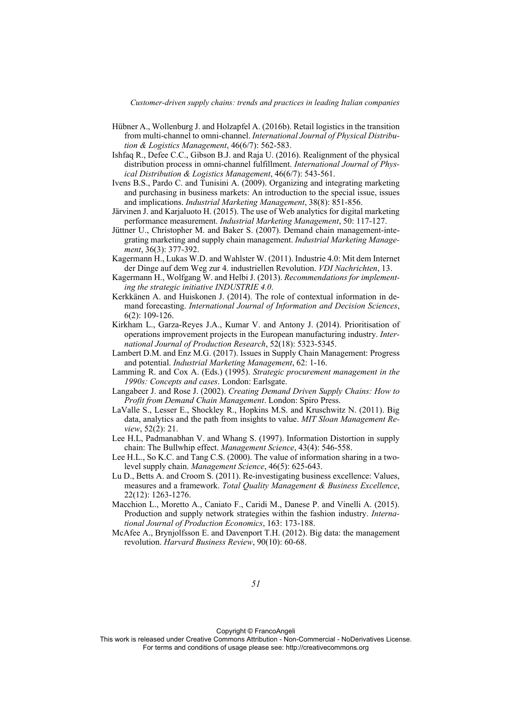- Hübner A., Wollenburg J. and Holzapfel A. (2016b). Retail logistics in the transition from multi-channel to omni-channel. *International Journal of Physical Distribution & Logistics Management*, 46(6/7): 562-583.
- Ishfaq R., Defee C.C., Gibson B.J. and Raja U. (2016). Realignment of the physical distribution process in omni-channel fulfillment. *International Journal of Physical Distribution & Logistics Management*, 46(6/7): 543-561.
- Ivens B.S., Pardo C. and Tunisini A. (2009). Organizing and integrating marketing and purchasing in business markets: An introduction to the special issue, issues and implications. *Industrial Marketing Management*, 38(8): 851-856.
- Järvinen J. and Karjaluoto H. (2015). The use of Web analytics for digital marketing performance measurement. *Industrial Marketing Management*, 50: 117-127.
- Jüttner U., Christopher M. and Baker S. (2007). Demand chain management-integrating marketing and supply chain management. *Industrial Marketing Management*, 36(3): 377-392.
- Kagermann H., Lukas W.D. and Wahlster W. (2011). Industrie 4.0: Mit dem Internet der Dinge auf dem Weg zur 4. industriellen Revolution. *VDI Nachrichten*, 13.
- Kagermann H., Wolfgang W. and Helbi J. (2013). *Recommendations for implementing the strategic initiative INDUSTRIE 4.0*.
- Kerkkänen A. and Huiskonen J. (2014). The role of contextual information in demand forecasting. *International Journal of Information and Decision Sciences*, 6(2): 109-126.
- Kirkham L., Garza-Reyes J.A., Kumar V. and Antony J. (2014). Prioritisation of operations improvement projects in the European manufacturing industry. *International Journal of Production Research*, 52(18): 5323-5345.
- Lambert D.M. and Enz M.G. (2017). Issues in Supply Chain Management: Progress and potential. *Industrial Marketing Management*, 62: 1-16.
- Lamming R. and Cox A. (Eds.) (1995). *Strategic procurement management in the 1990s: Concepts and cases*. London: Earlsgate.
- Langabeer J. and Rose J. (2002). *Creating Demand Driven Supply Chains: How to Profit from Demand Chain Management*. London: Spiro Press.
- LaValle S., Lesser E., Shockley R., Hopkins M.S. and Kruschwitz N. (2011). Big data, analytics and the path from insights to value. *MIT Sloan Management Review*, 52(2): 21.
- Lee H.L, Padmanabhan V. and Whang S. (1997). Information Distortion in supply chain: The Bullwhip effect. *Management Science*, 43(4): 546-558.
- Lee H.L., So K.C. and Tang C.S. (2000). The value of information sharing in a twolevel supply chain. *Management Science*, 46(5): 625-643.
- Lu D., Betts A. and Croom S. (2011). Re-investigating business excellence: Values, measures and a framework. *Total Quality Management & Business Excellence*, 22(12): 1263-1276.
- Macchion L., Moretto A., Caniato F., Caridi M., Danese P. and Vinelli A. (2015). Production and supply network strategies within the fashion industry. *International Journal of Production Economics*, 163: 173-188.
- McAfee A., Brynjolfsson E. and Davenport T.H. (2012). Big data: the management revolution. *Harvard Business Review*, 90(10): 60-68.

Copyright © FrancoAngeli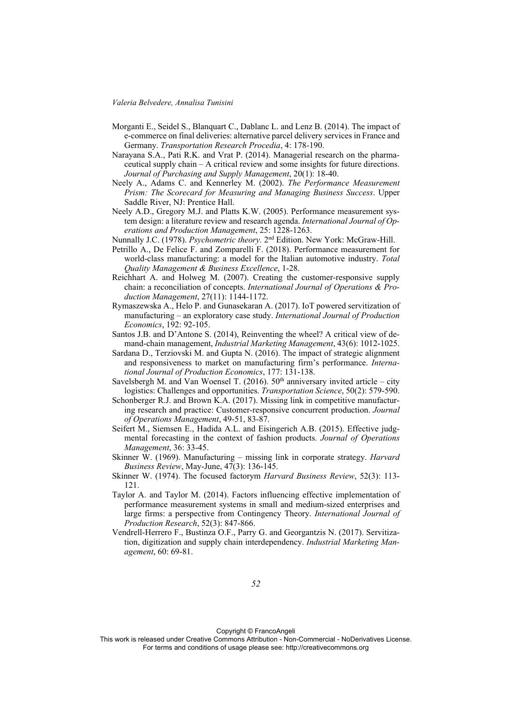- Morganti E., Seidel S., Blanquart C., Dablanc L. and Lenz B. (2014). The impact of e-commerce on final deliveries: alternative parcel delivery services in France and Germany. *Transportation Research Procedia*, 4: 178-190.
- Narayana S.A., Pati R.K. and Vrat P. (2014). Managerial research on the pharmaceutical supply chain – A critical review and some insights for future directions. *Journal of Purchasing and Supply Management*, 20(1): 18-40.
- Neely A., Adams C. and Kennerley M. (2002). *The Performance Measurement Prism: The Scorecard for Measuring and Managing Business Success*. Upper Saddle River, NJ: Prentice Hall.
- Neely A.D., Gregory M.J. and Platts K.W. (2005). Performance measurement system design: a literature review and research agenda. *International Journal of Operations and Production Management*, 25: 1228-1263.
- Nunnally J.C. (1978). *Psychometric theory.* 2nd Edition. New York: McGraw-Hill.
- Petrillo A., De Felice F. and Zomparelli F. (2018). Performance measurement for world-class manufacturing: a model for the Italian automotive industry. *Total Quality Management & Business Excellence*, 1-28.
- Reichhart A. and Holweg M. (2007). Creating the customer-responsive supply chain: a reconciliation of concepts. *International Journal of Operations & Production Management*, 27(11): 1144-1172.
- Rymaszewska A., Helo P. and Gunasekaran A. (2017). IoT powered servitization of manufacturing – an exploratory case study. *International Journal of Production Economics*, 192: 92-105.
- Santos J.B. and D'Antone S. (2014), Reinventing the wheel? A critical view of demand-chain management, *Industrial Marketing Management*, 43(6): 1012-1025.
- Sardana D., Terziovski M. and Gupta N. (2016). The impact of strategic alignment and responsiveness to market on manufacturing firm's performance. *International Journal of Production Economics*, 177: 131-138.
- Savelsbergh M. and Van Woensel T. (2016).  $50<sup>th</sup>$  anniversary invited article city logistics: Challenges and opportunities. *Transportation Science*, 50(2): 579-590.
- Schonberger R.J. and Brown K.A. (2017). Missing link in competitive manufacturing research and practice: Customer-responsive concurrent production. *Journal of Operations Management*, 49-51, 83-87.
- Seifert M., Siemsen E., Hadida A.L. and Eisingerich A.B. (2015). Effective judgmental forecasting in the context of fashion products. *Journal of Operations Management*, 36: 33-45.
- Skinner W. (1969). Manufacturing missing link in corporate strategy. *Harvard Business Review*, May-June, 47(3): 136-145.
- Skinner W. (1974). The focused factorym *Harvard Business Review*, 52(3): 113- 121.
- Taylor A. and Taylor M. (2014). Factors influencing effective implementation of performance measurement systems in small and medium-sized enterprises and large firms: a perspective from Contingency Theory. *International Journal of Production Research*, 52(3): 847-866.
- Vendrell-Herrero F., Bustinza O.F., Parry G. and Georgantzis N. (2017). Servitization, digitization and supply chain interdependency. *Industrial Marketing Management*, 60: 69-81.

Copyright © FrancoAngeli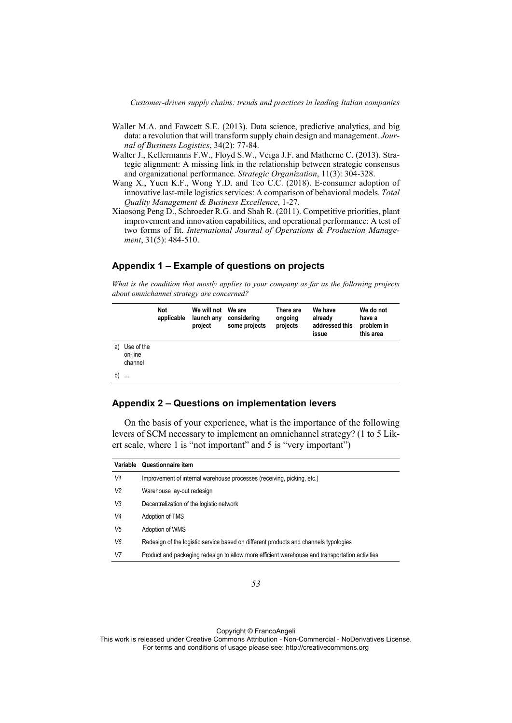- Waller M.A. and Fawcett S.E. (2013). Data science, predictive analytics, and big data: a revolution that will transform supply chain design and management. *Journal of Business Logistics*, 34(2): 77-84.
- Walter J., Kellermanns F.W., Floyd S.W., Veiga J.F. and Matherne C. (2013). Strategic alignment: A missing link in the relationship between strategic consensus and organizational performance. *Strategic Organization*, 11(3): 304-328.
- Wang X., Yuen K.F., Wong Y.D. and Teo C.C. (2018). E-consumer adoption of innovative last-mile logistics services: A comparison of behavioral models. *Total Quality Management & Business Excellence*, 1-27.
- Xiaosong Peng D., Schroeder R.G. and Shah R. (2011). Competitive priorities, plant improvement and innovation capabilities, and operational performance: A test of two forms of fit. *International Journal of Operations & Production Management*, 31(5): 484-510.

# **Appendix 1 – Example of questions on projects**

*What is the condition that mostly applies to your company as far as the following projects about omnichannel strategy are concerned?* 

|    |                                  | Not<br>applicable | We will not We are<br>launch any<br>project | considering<br>some projects | There are<br>ongoing<br>projects | We have<br>already<br>addressed this<br>issue | We do not<br>have a<br>problem in<br>this area |
|----|----------------------------------|-------------------|---------------------------------------------|------------------------------|----------------------------------|-----------------------------------------------|------------------------------------------------|
| a) | Use of the<br>on-line<br>channel |                   |                                             |                              |                                  |                                               |                                                |
| b) | $\cdots$                         |                   |                                             |                              |                                  |                                               |                                                |

# **Appendix 2 – Questions on implementation levers**

On the basis of your experience, what is the importance of the following levers of SCM necessary to implement an omnichannel strategy? (1 to 5 Likert scale, where 1 is "not important" and 5 is "very important")

|                | Variable Questionnaire item                                                                    |
|----------------|------------------------------------------------------------------------------------------------|
| V1             | Improvement of internal warehouse processes (receiving, picking, etc.)                         |
| V <sub>2</sub> | Warehouse lay-out redesign                                                                     |
| V3             | Decentralization of the logistic network                                                       |
| V4             | Adoption of TMS                                                                                |
| V5             | Adoption of WMS                                                                                |
| V <sub>6</sub> | Redesign of the logistic service based on different products and channels typologies           |
| V7             | Product and packaging redesign to allow more efficient warehouse and transportation activities |

Copyright © FrancoAngeli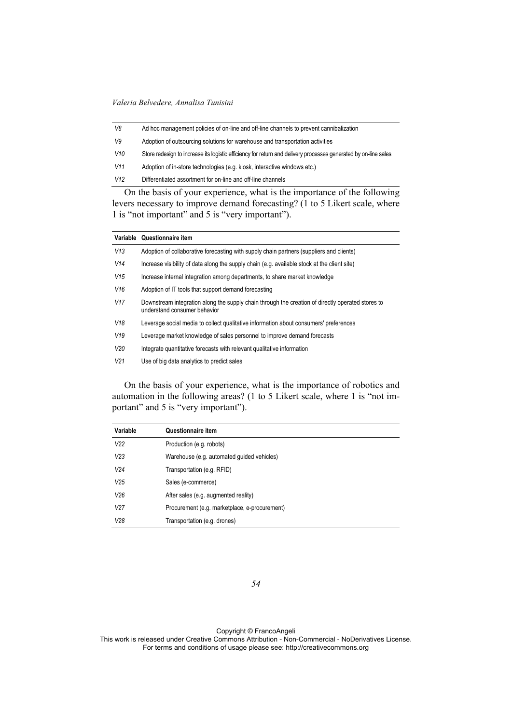| V8  | Ad hoc management policies of on-line and off-line channels to prevent cannibalization                          |  |  |
|-----|-----------------------------------------------------------------------------------------------------------------|--|--|
| V9  | Adoption of outsourcing solutions for warehouse and transportation activities                                   |  |  |
| V10 | Store redesign to increase its logistic efficiency for return and delivery processes generated by on-line sales |  |  |
| V11 | Adoption of in-store technologies (e.g. kiosk, interactive windows etc.)                                        |  |  |
| V12 | Differentiated assortment for on-line and off-line channels                                                     |  |  |
|     | On the heair of your experience what is the importance of the following                                         |  |  |

On the basis of your experience, what is the importance of the following levers necessary to improve demand forecasting? (1 to 5 Likert scale, where 1 is "not important" and 5 is "very important").

|                 | Variable Questionnaire item                                                                                                       |
|-----------------|-----------------------------------------------------------------------------------------------------------------------------------|
| V13             | Adoption of collaborative forecasting with supply chain partners (suppliers and clients)                                          |
| V14             | Increase visibility of data along the supply chain (e.g. available stock at the client site)                                      |
| V15             | Increase internal integration among departments, to share market knowledge                                                        |
| V16             | Adoption of IT tools that support demand forecasting                                                                              |
| V <sub>17</sub> | Downstream integration along the supply chain through the creation of directly operated stores to<br>understand consumer behavior |
| V18             | Leverage social media to collect qualitative information about consumers' preferences                                             |
| V19             | Leverage market knowledge of sales personnel to improve demand forecasts                                                          |
| V20             | Integrate quantitative forecasts with relevant qualitative information                                                            |
| V <sub>21</sub> | Use of big data analytics to predict sales                                                                                        |

On the basis of your experience, what is the importance of robotics and automation in the following areas? (1 to 5 Likert scale, where 1 is "not important" and 5 is "very important").

| Variable        | <b>Questionnaire item</b>                     |
|-----------------|-----------------------------------------------|
| V <sub>22</sub> | Production (e.g. robots)                      |
| V <sub>23</sub> | Warehouse (e.g. automated guided vehicles)    |
| V24             | Transportation (e.g. RFID)                    |
| V25             | Sales (e-commerce)                            |
| V26             | After sales (e.g. augmented reality)          |
| V <sub>27</sub> | Procurement (e.g. marketplace, e-procurement) |
| V28             | Transportation (e.g. drones)                  |

*54* 

Copyright © FrancoAngeli